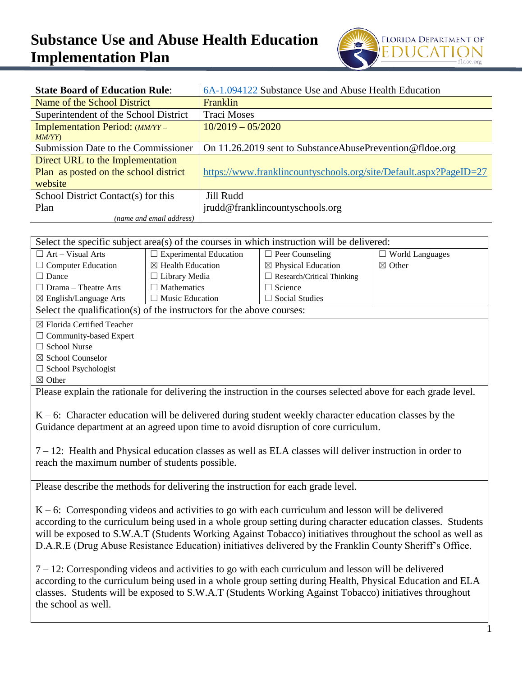## **Substance Use and Abuse Health Education Implementation Plan**



| <b>State Board of Education Rule:</b>    | 6A-1.094122 Substance Use and Abuse Health Education              |  |  |
|------------------------------------------|-------------------------------------------------------------------|--|--|
| Name of the School District              | Franklin                                                          |  |  |
| Superintendent of the School District    | <b>Traci Moses</b>                                                |  |  |
| Implementation Period: (MM/YY –<br>MM/YY | $10/2019 - 05/2020$                                               |  |  |
| Submission Date to the Commissioner      | On 11.26.2019 sent to Substance Abuse Prevention @ fldoe.org      |  |  |
| Direct URL to the Implementation         |                                                                   |  |  |
| Plan as posted on the school district    | https://www.franklincountyschools.org/site/Default.aspx?PageID=27 |  |  |
| website                                  |                                                                   |  |  |
| School District Contact(s) for this      | Jill Rudd                                                         |  |  |
| Plan                                     | jrudd@franklincountyschools.org                                   |  |  |
| (name and email address)                 |                                                                   |  |  |

| Select the specific subject area(s) of the courses in which instruction will be delivered:                      |                                                                                                          |                                   |                        |  |  |
|-----------------------------------------------------------------------------------------------------------------|----------------------------------------------------------------------------------------------------------|-----------------------------------|------------------------|--|--|
| $\Box$ Art – Visual Arts                                                                                        | $\Box$ Experimental Education                                                                            | $\Box$ Peer Counseling            | $\Box$ World Languages |  |  |
| $\Box$ Computer Education                                                                                       | $\boxtimes$ Health Education                                                                             | $\boxtimes$ Physical Education    | $\boxtimes$ Other      |  |  |
| $\Box$ Dance                                                                                                    | □ Library Media                                                                                          | $\Box$ Research/Critical Thinking |                        |  |  |
| $\Box$ Drama - Theatre Arts                                                                                     | $\Box$ Mathematics                                                                                       | $\Box$ Science                    |                        |  |  |
| ⊠ English/Language Arts                                                                                         | $\Box$ Music Education                                                                                   | $\Box$ Social Studies             |                        |  |  |
| Select the qualification(s) of the instructors for the above courses:                                           |                                                                                                          |                                   |                        |  |  |
| ⊠ Florida Certified Teacher                                                                                     |                                                                                                          |                                   |                        |  |  |
| $\Box$ Community-based Expert                                                                                   |                                                                                                          |                                   |                        |  |  |
| □ School Nurse                                                                                                  |                                                                                                          |                                   |                        |  |  |
| ⊠ School Counselor                                                                                              |                                                                                                          |                                   |                        |  |  |
| □ School Psychologist                                                                                           |                                                                                                          |                                   |                        |  |  |
| $\boxtimes$ Other                                                                                               |                                                                                                          |                                   |                        |  |  |
| Please explain the rationale for delivering the instruction in the courses selected above for each grade level. |                                                                                                          |                                   |                        |  |  |
|                                                                                                                 |                                                                                                          |                                   |                        |  |  |
|                                                                                                                 | $K - 6$ : Character education will be delivered during student weekly character education classes by the |                                   |                        |  |  |
|                                                                                                                 | Guidance department at an agreed upon time to avoid disruption of core curriculum.                       |                                   |                        |  |  |
|                                                                                                                 |                                                                                                          |                                   |                        |  |  |
| $7 - 12$ : Health and Physical education classes as well as ELA classes will deliver instruction in order to    |                                                                                                          |                                   |                        |  |  |
| reach the maximum number of students possible.                                                                  |                                                                                                          |                                   |                        |  |  |
|                                                                                                                 |                                                                                                          |                                   |                        |  |  |
| Please describe the methods for delivering the instruction for each grade level.                                |                                                                                                          |                                   |                        |  |  |
|                                                                                                                 |                                                                                                          |                                   |                        |  |  |
| $K - 6$ : Corresponding videos and activities to go with each curriculum and lesson will be delivered           |                                                                                                          |                                   |                        |  |  |
| according to the curriculum being used in a whole group setting during character education classes. Students    |                                                                                                          |                                   |                        |  |  |
| will be exposed to S.W.A.T (Students Working Against Tobacco) initiatives throughout the school as well as      |                                                                                                          |                                   |                        |  |  |
| D.A.R.E (Drug Abuse Resistance Education) initiatives delivered by the Franklin County Sheriff's Office.        |                                                                                                          |                                   |                        |  |  |
|                                                                                                                 |                                                                                                          |                                   |                        |  |  |
| $7 - 12$ : Corresponding videos and activities to go with each curriculum and lesson will be delivered          |                                                                                                          |                                   |                        |  |  |
| according to the curriculum being used in a whole group setting during Health, Physical Education and ELA       |                                                                                                          |                                   |                        |  |  |
| classes. Students will be exposed to S.W.A.T (Students Working Against Tobacco) initiatives throughout          |                                                                                                          |                                   |                        |  |  |
|                                                                                                                 |                                                                                                          |                                   |                        |  |  |
|                                                                                                                 | the school as well.                                                                                      |                                   |                        |  |  |